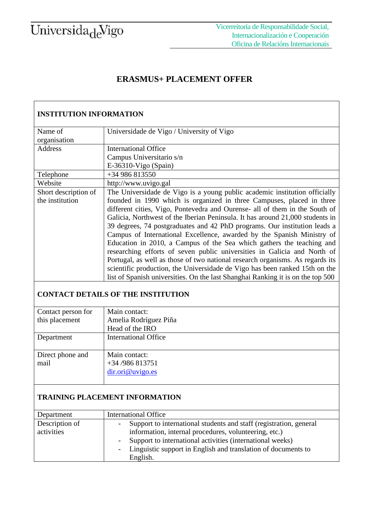# Universida<sub>de</sub>Vigo

### **ERASMUS+ PLACEMENT OFFER**

| <b>INSTITUTION INFORMATION</b> |                                                                                 |  |  |  |
|--------------------------------|---------------------------------------------------------------------------------|--|--|--|
| Name of<br>organisation        | Universidade de Vigo / University of Vigo                                       |  |  |  |
| <b>Address</b>                 | <b>International Office</b>                                                     |  |  |  |
|                                | Campus Universitario s/n                                                        |  |  |  |
|                                | $E-36310-Vigo$ (Spain)                                                          |  |  |  |
| Telephone                      | +34 986 813550                                                                  |  |  |  |
| Website                        | http://www.uvigo.gal                                                            |  |  |  |
| Short description of           | The Universidade de Vigo is a young public academic institution officially      |  |  |  |
| the institution                | founded in 1990 which is organized in three Campuses, placed in three           |  |  |  |
|                                | different cities, Vigo, Pontevedra and Ourense- all of them in the South of     |  |  |  |
|                                | Galicia, Northwest of the Iberian Peninsula. It has around 21,000 students in   |  |  |  |
|                                | 39 degrees, 74 postgraduates and 42 PhD programs. Our institution leads a       |  |  |  |
|                                | Campus of International Excellence, awarded by the Spanish Ministry of          |  |  |  |
|                                | Education in 2010, a Campus of the Sea which gathers the teaching and           |  |  |  |
|                                | researching efforts of seven public universities in Galicia and North of        |  |  |  |
|                                | Portugal, as well as those of two national research organisms. As regards its   |  |  |  |
|                                | scientific production, the Universidade de Vigo has been ranked 15th on the     |  |  |  |
|                                | list of Spanish universities. On the last Shanghai Ranking it is on the top 500 |  |  |  |
|                                | CONTA CT DETAIL & OF THE INSTITUTION                                            |  |  |  |

#### **CONTACT DETAILS OF THE INSTITUTION**

| Contact person for | Main contact:               |  |  |  |
|--------------------|-----------------------------|--|--|--|
| this placement     | Amelia Rodríguez Piña       |  |  |  |
|                    | Head of the IRO             |  |  |  |
| Department         | <b>International Office</b> |  |  |  |
|                    |                             |  |  |  |
| Direct phone and   | Main contact:               |  |  |  |
| mail               | $+34/986813751$             |  |  |  |
|                    | dir. ori@uvigo. es          |  |  |  |
|                    |                             |  |  |  |

#### **TRAINING PLACEMENT INFORMATION**

| Department     | <b>International Office</b>                                               |
|----------------|---------------------------------------------------------------------------|
| Description of | Support to international students and staff (registration, general<br>$-$ |
| activities     | information, internal procedures, volunteering, etc.)                     |
|                | Support to international activities (international weeks)                 |
|                | - Linguistic support in English and translation of documents to           |
|                | English.                                                                  |